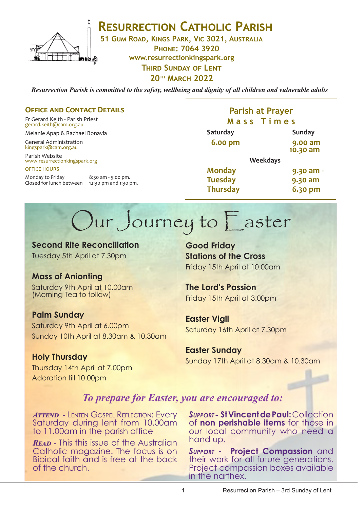

**RESURRECTION CATHOLIC PARISH** 

**51 Gum Road, Kings Park, Vic 3021, Australia**

**Phone: 7064 3920 www.resurrectionkingspark.org Third Sunday of Lent 20th March 2022**

*Resurrection Parish is committed to the safety, wellbeing and dignity of all children and vulnerable adults*

## **OFFICE AND CONTACT DETAILS**

Fr Gerard Keith - Parish Priest gerard.keith@cam.org.au

Melanie Apap & Rachael Bonavia

General Administration kingspark@cam.org.au

Parish Website www.resurrectionkingspark.org OFFICE HOURS

Monday to Friday 8:30 am - 5:00 pm. Closed for lunch between 12:30 pm and 1:30 pm.

## **Parish at Prayer M a s s T i m e s**

| Saturday        | <b>Sunday</b>       |
|-----------------|---------------------|
| <b>6.00 pm</b>  | 9.00 am<br>10.30 am |
|                 | <b>Weekdays</b>     |
| <b>Monday</b>   | 9.30 am -           |
| <b>Tuesday</b>  | 9.30 am             |
| <b>Thursday</b> | 6.30 pm             |

# Our Journey to Easter

**Second Rite Reconciliation** Tuesday 5th April at 7.30pm

## **Mass of Anionting**

Saturday 9th April at 10.00am (Morning Tea to follow)

## **Palm Sunday**

Saturday 9th April at 6.00pm Sunday 10th April at 8.30am & 10.30am

**Holy Thursday** Thursday 14th April at 7.00pm Adoration till 10.00pm

**Good Friday Stations of the Cross**  Friday 15th April at 10.00am

# **The Lord's Passion**

Friday 15th April at 3.00pm

**Easter Vigil** Saturday 16th April at 7.30pm

**Easter Sunday** Sunday 17th April at 8.30am & 10.30am

## *To prepare for Easter, you are encouraged to:*

*ATTEND - LENTEN GOSPEL REFLECTION: EVERY* Saturday during lent from 10.00am to 11.00am in the parish office

*Read -* This this issue of the Australian Catholic magazine. The focus is on Bibical faith and is free at the back of the church.

*Support -* **St Vincent de Paul:** Collection of **non perishable items** for those in our local community who need a hand up.

*Support -* **Project Compassion** and their work for all future generations. Project compassion boxes available in the narthex.